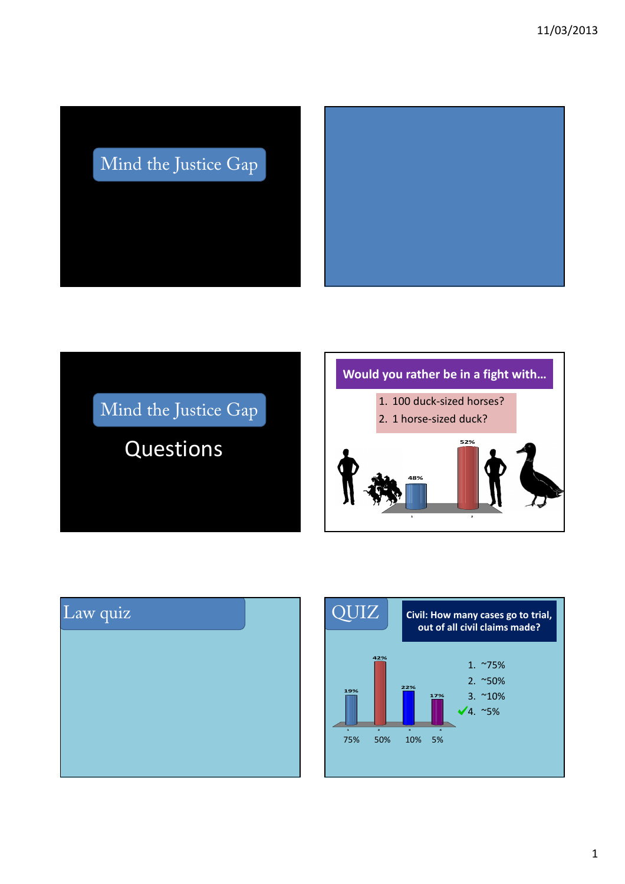## Mind the Justice Gap

Mind the Justice Gap

Questions

# **Would you rather be in a fight with… 1 2 52% 48%** 1. 100 duck-sized horses? 2. 1 horse-sized duck?



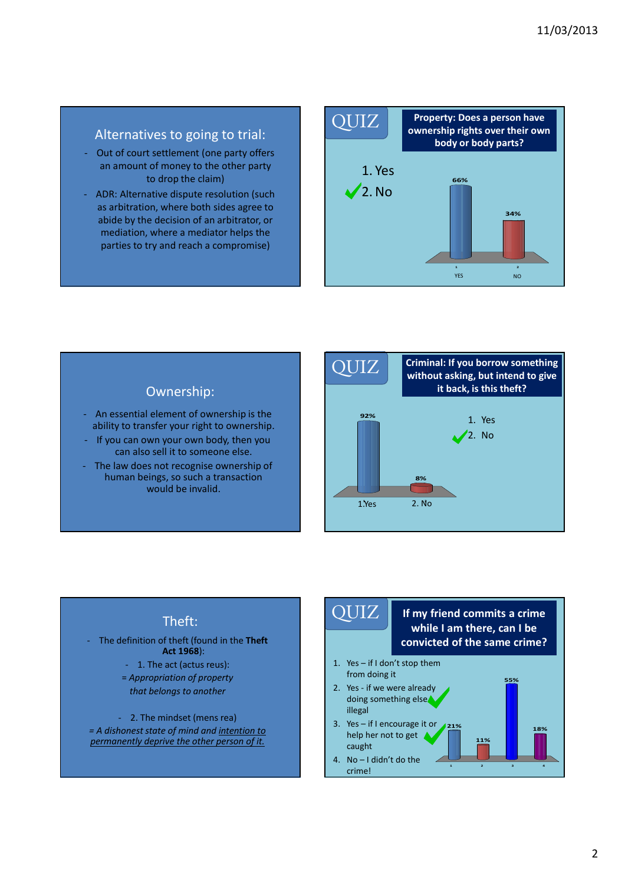## Alternatives to going to trial:

- Out of court settlement (one party offers an amount of money to the other party to drop the claim)
- ADR: Alternative dispute resolution (such as arbitration, where both sides agree to abide by the decision of an arbitrator, or mediation, where a mediator helps the parties to try and reach a compromise)



## Ownership:

- An essential element of ownership is the ability to transfer your right to ownership.
- If you can own your own body, then you can also sell it to someone else.
- The law does not recognise ownership of human beings, so such a transaction would be invalid.



## Theft:

- The definition of theft (found in the **Theft Act 1968**): - 1. The act (actus reus): = *Appropriation of property that belongs to another* 

- 2. The mindset (mens rea) *= A dishonest state of mind and intention to permanently deprive the other person of it.*

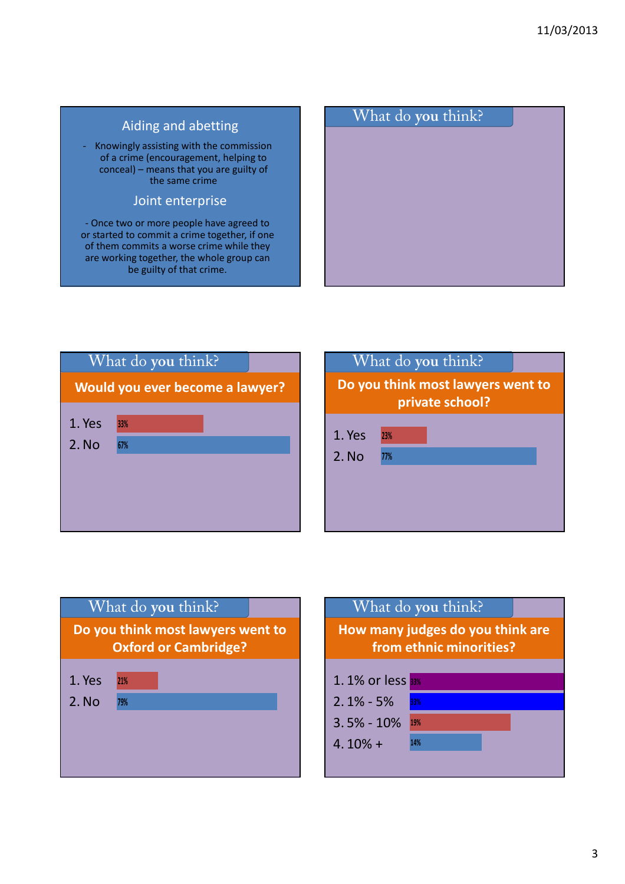







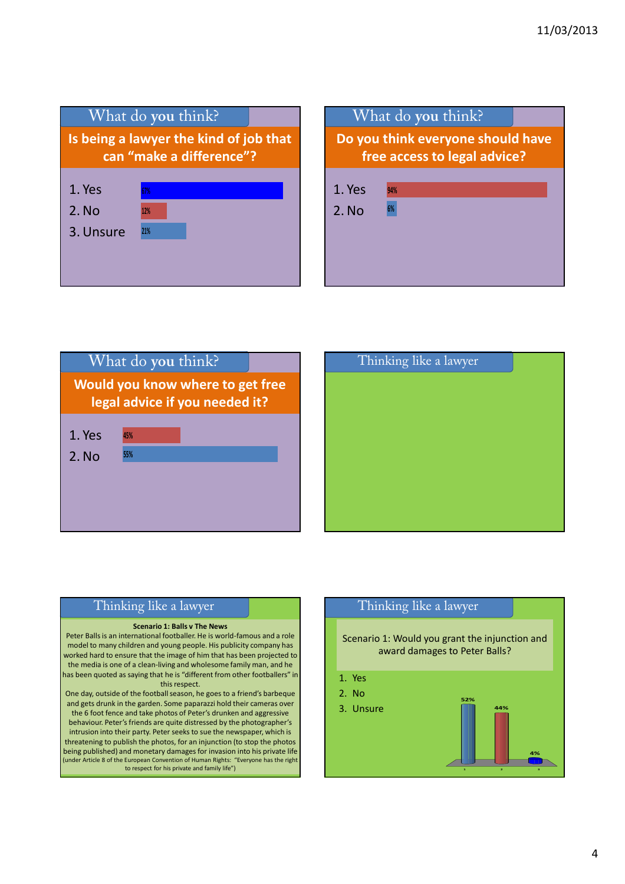







### Thinking like a lawyer

#### **Scenario 1: Balls v The News**

Peter Balls is an international footballer. He is world-famous and a role model to many children and young people. His publicity company has worked hard to ensure that the image of him that has been projected to the media is one of a clean-living and wholesome family man, and he has been quoted as saying that he is "different from other footballers" in this respect.

One day, outside of the football season, he goes to a friend's barbeque and gets drunk in the garden. Some paparazzi hold their cameras over the 6 foot fence and take photos of Peter's drunken and aggressive behaviour. Peter's friends are quite distressed by the photographer's intrusion into their party. Peter seeks to sue the newspaper, which is threatening to publish the photos, for an injunction (to stop the photos being published) and monetary damages for invasion into his private life (under Article 8 of the European Convention of Human Rights: "Everyone has the right to respect for his private and family life")

## Thinking like a lawyer

Scenario 1: Would you grant the injunction and award damages to Peter Balls?

- 1. Yes
- 2. No
- 3. Unsure

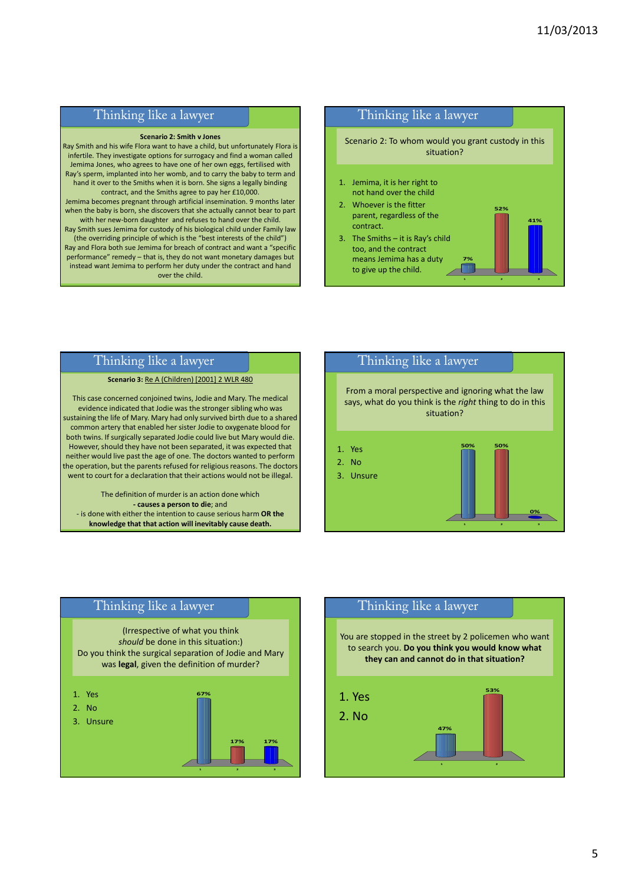## Thinking like a lawyer

#### **Scenario 2: Smith v Jones**

Ray Smith and his wife Flora want to have a child, but unfortunately Flora is infertile. They investigate options for surrogacy and find a woman called Jemima Jones, who agrees to have one of her own eggs, fertilised with Ray's sperm, implanted into her womb, and to carry the baby to term and hand it over to the Smiths when it is born. She signs a legally binding contract, and the Smiths agree to pay her £10,000. Jemima becomes pregnant through artificial insemination. 9 months later when the baby is born, she discovers that she actually cannot bear to part with her new-born daughter and refuses to hand over the child. Ray Smith sues Jemima for custody of his biological child under Family law (the overriding principle of which is the "best interests of the child") Ray and Flora both sue Jemima for breach of contract and want a "specific performance" remedy – that is, they do not want monetary damages but instead want Jemima to perform her duty under the contract and hand over the child.



### Thinking like a lawyer

#### **Scenario 3:** Re A (Children) [2001] 2 WLR 480

This case concerned conjoined twins, Jodie and Mary. The medical evidence indicated that Jodie was the stronger sibling who was sustaining the life of Mary. Mary had only survived birth due to a shared common artery that enabled her sister Jodie to oxygenate blood for both twins. If surgically separated Jodie could live but Mary would die. However, should they have not been separated, it was expected that neither would live past the age of one. The doctors wanted to perform the operation, but the parents refused for religious reasons. The doctors went to court for a declaration that their actions would not be illegal.

The definition of murder is an action done which **- causes a person to die**; and - is done with either the intention to cause serious harm **OR the knowledge that that action will inevitably cause death.**



## Thinking like a lawyer

(Irrespective of what you think *should* be done in this situation:) Do you think the surgical separation of Jodie and Mary was **legal**, given the definition of murder?



## Thinking like a lawyer

You are stopped in the street by 2 policemen who want to search you. **Do you think you would know what they can and cannot do in that situation?**

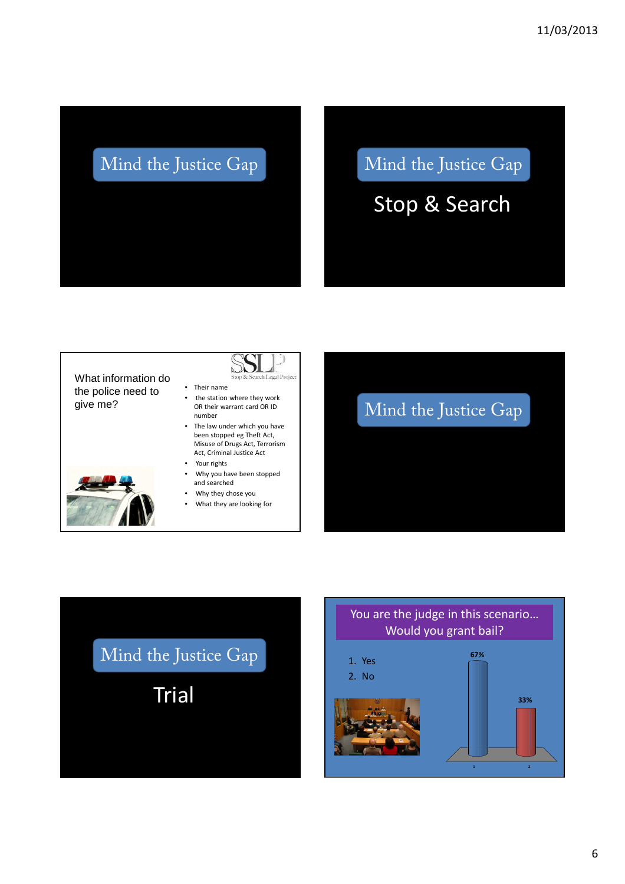## Mind the Justice Gap Mind the Justice Gap

Stop & Search

What information do the police need to give me?



- Their name • the station where they work OR their warrant card OR ID number
- The law under which you have been stopped eg Theft Act, Misuse of Drugs Act, Terrorism Act, Criminal Justice Act
- Your rights
- Why you have been stopped and searched
- Why they chose you
- What they are looking for





## You are the judge in this scenario… Would you grant bail? **67%** 1. Yes





**1 2**